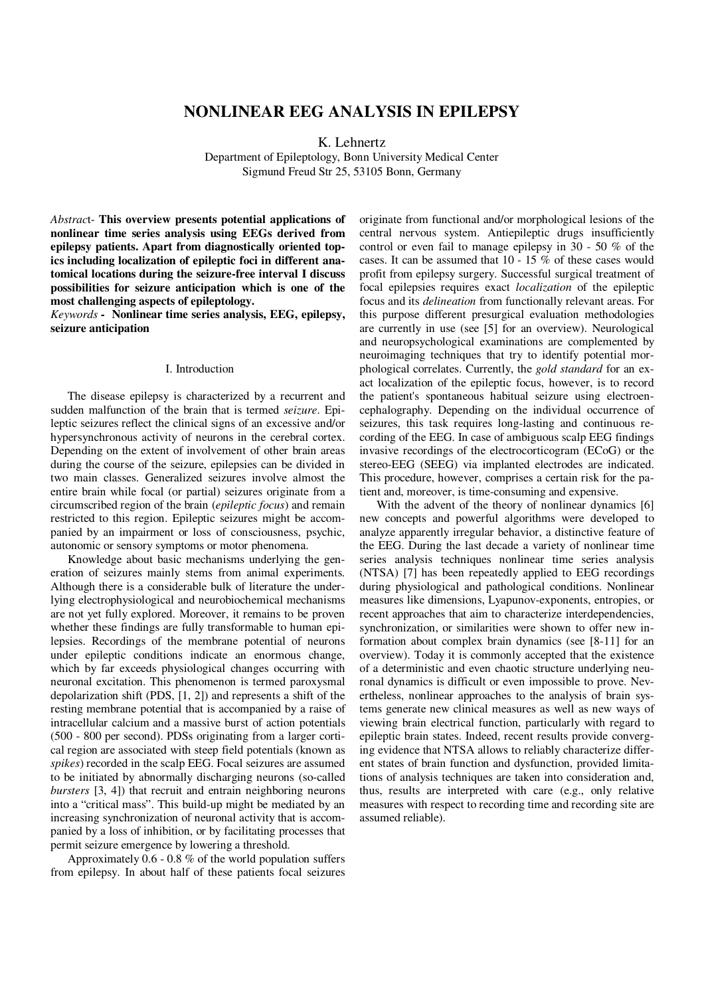# **NONLINEAR EEG ANALYSIS IN EPILEPSY**

K. Lehnertz

Department of Epileptology, Bonn University Medical Center Sigmund Freud Str 25, 53105 Bonn, Germany

*Abstrac*t- **This overview presents potential applications of nonlinear time series analysis using EEGs derived from epilepsy patients. Apart from diagnostically oriented topics including localization of epileptic foci in different anatomical locations during the seizure-free interval I discuss possibilities for seizure anticipation which is one of the most challenging aspects of epileptology.**

*Keywords -* **Nonlinear time series analysis, EEG, epilepsy, seizure anticipation**

## I. Introduction

The disease epilepsy is characterized by a recurrent and sudden malfunction of the brain that is termed *seizure*. Epileptic seizures reflect the clinical signs of an excessive and/or hypersynchronous activity of neurons in the cerebral cortex. Depending on the extent of involvement of other brain areas during the course of the seizure, epilepsies can be divided in two main classes. Generalized seizures involve almost the entire brain while focal (or partial) seizures originate from a circumscribed region of the brain (*epileptic focus*) and remain restricted to this region. Epileptic seizures might be accompanied by an impairment or loss of consciousness, psychic, autonomic or sensory symptoms or motor phenomena.

Knowledge about basic mechanisms underlying the generation of seizures mainly stems from animal experiments. Although there is a considerable bulk of literature the underlying electrophysiological and neurobiochemical mechanisms are not yet fully explored. Moreover, it remains to be proven whether these findings are fully transformable to human epilepsies. Recordings of the membrane potential of neurons under epileptic conditions indicate an enormous change, which by far exceeds physiological changes occurring with neuronal excitation. This phenomenon is termed paroxysmal depolarization shift (PDS, [1, 2]) and represents a shift of the resting membrane potential that is accompanied by a raise of intracellular calcium and a massive burst of action potentials (500 - 800 per second). PDSs originating from a larger cortical region are associated with steep field potentials (known as *spikes*) recorded in the scalp EEG. Focal seizures are assumed to be initiated by abnormally discharging neurons (so-called *bursters* [3, 4]) that recruit and entrain neighboring neurons into a "critical mass". This build-up might be mediated by an increasing synchronization of neuronal activity that is accompanied by a loss of inhibition, or by facilitating processes that permit seizure emergence by lowering a threshold.

Approximately 0.6 - 0.8 % of the world population suffers from epilepsy. In about half of these patients focal seizures originate from functional and/or morphological lesions of the central nervous system. Antiepileptic drugs insufficiently control or even fail to manage epilepsy in 30 - 50 % of the cases. It can be assumed that 10 - 15 % of these cases would profit from epilepsy surgery. Successful surgical treatment of focal epilepsies requires exact *localization* of the epileptic focus and its *delineation* from functionally relevant areas. For this purpose different presurgical evaluation methodologies are currently in use (see [5] for an overview). Neurological and neuropsychological examinations are complemented by neuroimaging techniques that try to identify potential morphological correlates. Currently, the *gold standard* for an exact localization of the epileptic focus, however, is to record the patient's spontaneous habitual seizure using electroencephalography. Depending on the individual occurrence of seizures, this task requires long-lasting and continuous recording of the EEG. In case of ambiguous scalp EEG findings invasive recordings of the electrocorticogram (ECoG) or the stereo-EEG (SEEG) via implanted electrodes are indicated. This procedure, however, comprises a certain risk for the patient and, moreover, is time-consuming and expensive.

With the advent of the theory of nonlinear dynamics [6] new concepts and powerful algorithms were developed to analyze apparently irregular behavior, a distinctive feature of the EEG. During the last decade a variety of nonlinear time series analysis techniques nonlinear time series analysis (NTSA) [7] has been repeatedly applied to EEG recordings during physiological and pathological conditions. Nonlinear measures like dimensions, Lyapunov-exponents, entropies, or recent approaches that aim to characterize interdependencies, synchronization, or similarities were shown to offer new information about complex brain dynamics (see [8-11] for an overview). Today it is commonly accepted that the existence of a deterministic and even chaotic structure underlying neuronal dynamics is difficult or even impossible to prove. Nevertheless, nonlinear approaches to the analysis of brain systems generate new clinical measures as well as new ways of viewing brain electrical function, particularly with regard to epileptic brain states. Indeed, recent results provide converging evidence that NTSA allows to reliably characterize different states of brain function and dysfunction, provided limitations of analysis techniques are taken into consideration and, thus, results are interpreted with care (e.g., only relative measures with respect to recording time and recording site are assumed reliable).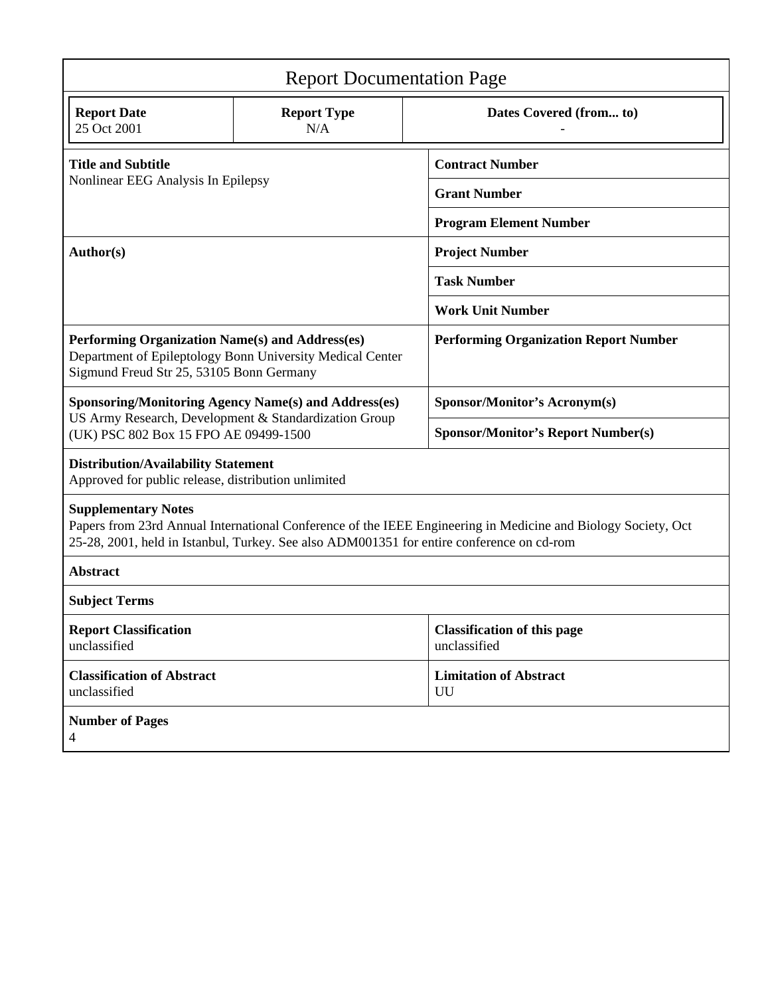| <b>Report Documentation Page</b>                                                                                                                                                                                                         |                           |                                                    |
|------------------------------------------------------------------------------------------------------------------------------------------------------------------------------------------------------------------------------------------|---------------------------|----------------------------------------------------|
| <b>Report Date</b><br>25 Oct 2001                                                                                                                                                                                                        | <b>Report Type</b><br>N/A | Dates Covered (from to)                            |
| <b>Title and Subtitle</b><br>Nonlinear EEG Analysis In Epilepsy                                                                                                                                                                          |                           | <b>Contract Number</b>                             |
|                                                                                                                                                                                                                                          |                           | <b>Grant Number</b>                                |
|                                                                                                                                                                                                                                          |                           | <b>Program Element Number</b>                      |
| Author(s)                                                                                                                                                                                                                                |                           | <b>Project Number</b>                              |
|                                                                                                                                                                                                                                          |                           | <b>Task Number</b>                                 |
|                                                                                                                                                                                                                                          |                           | <b>Work Unit Number</b>                            |
| Performing Organization Name(s) and Address(es)<br>Department of Epileptology Bonn University Medical Center<br>Sigmund Freud Str 25, 53105 Bonn Germany                                                                                 |                           | <b>Performing Organization Report Number</b>       |
| <b>Sponsoring/Monitoring Agency Name(s) and Address(es)</b>                                                                                                                                                                              |                           | <b>Sponsor/Monitor's Acronym(s)</b>                |
| US Army Research, Development & Standardization Group<br>(UK) PSC 802 Box 15 FPO AE 09499-1500                                                                                                                                           |                           | <b>Sponsor/Monitor's Report Number(s)</b>          |
| <b>Distribution/Availability Statement</b><br>Approved for public release, distribution unlimited                                                                                                                                        |                           |                                                    |
| <b>Supplementary Notes</b><br>Papers from 23rd Annual International Conference of the IEEE Engineering in Medicine and Biology Society, Oct<br>25-28, 2001, held in Istanbul, Turkey. See also ADM001351 for entire conference on cd-rom |                           |                                                    |
| <b>Abstract</b>                                                                                                                                                                                                                          |                           |                                                    |
| <b>Subject Terms</b>                                                                                                                                                                                                                     |                           |                                                    |
| <b>Report Classification</b><br>unclassified                                                                                                                                                                                             |                           | <b>Classification of this page</b><br>unclassified |
| <b>Classification of Abstract</b><br>unclassified                                                                                                                                                                                        |                           | <b>Limitation of Abstract</b><br>UU                |
| <b>Number of Pages</b><br>$\overline{4}$                                                                                                                                                                                                 |                           |                                                    |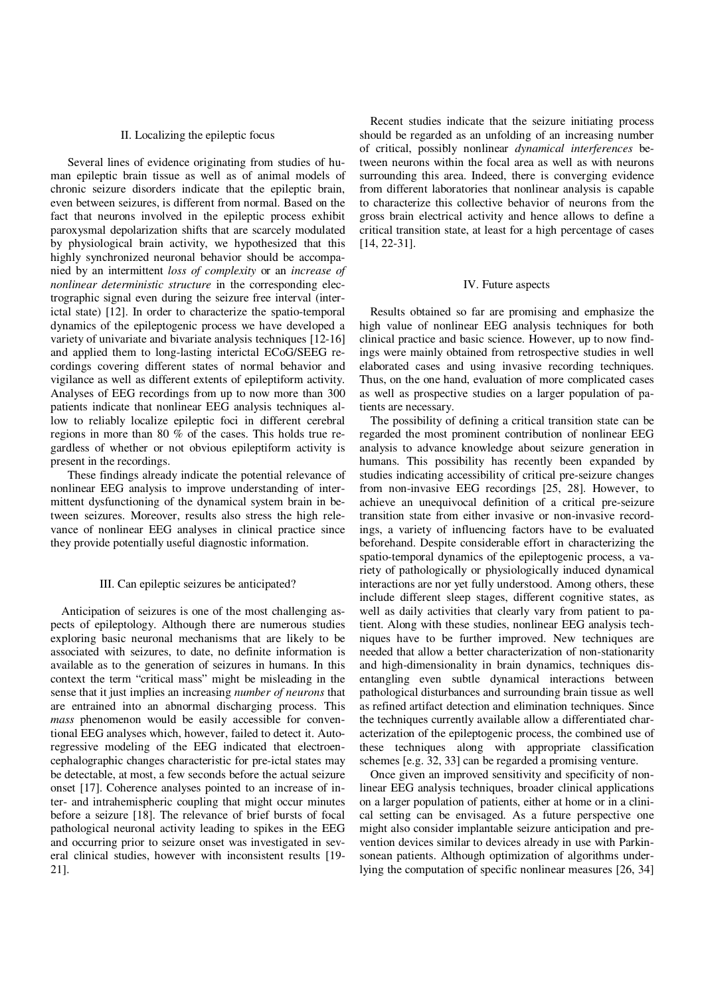## II. Localizing the epileptic focus

Several lines of evidence originating from studies of human epileptic brain tissue as well as of animal models of chronic seizure disorders indicate that the epileptic brain, even between seizures, is different from normal. Based on the fact that neurons involved in the epileptic process exhibit paroxysmal depolarization shifts that are scarcely modulated by physiological brain activity, we hypothesized that this highly synchronized neuronal behavior should be accompanied by an intermittent *loss of complexity* or an *increase of nonlinear deterministic structure* in the corresponding electrographic signal even during the seizure free interval (interictal state) [12]. In order to characterize the spatio-temporal dynamics of the epileptogenic process we have developed a variety of univariate and bivariate analysis techniques [12-16] and applied them to long-lasting interictal ECoG/SEEG recordings covering different states of normal behavior and vigilance as well as different extents of epileptiform activity. Analyses of EEG recordings from up to now more than 300 patients indicate that nonlinear EEG analysis techniques allow to reliably localize epileptic foci in different cerebral regions in more than 80 % of the cases. This holds true regardless of whether or not obvious epileptiform activity is present in the recordings.

These findings already indicate the potential relevance of nonlinear EEG analysis to improve understanding of intermittent dysfunctioning of the dynamical system brain in between seizures. Moreover, results also stress the high relevance of nonlinear EEG analyses in clinical practice since they provide potentially useful diagnostic information.

### III. Can epileptic seizures be anticipated?

Anticipation of seizures is one of the most challenging aspects of epileptology. Although there are numerous studies exploring basic neuronal mechanisms that are likely to be associated with seizures, to date, no definite information is available as to the generation of seizures in humans. In this context the term "critical mass" might be misleading in the sense that it just implies an increasing *number of neurons* that are entrained into an abnormal discharging process. This *mass* phenomenon would be easily accessible for conventional EEG analyses which, however, failed to detect it. Autoregressive modeling of the EEG indicated that electroencephalographic changes characteristic for pre-ictal states may be detectable, at most, a few seconds before the actual seizure onset [17]. Coherence analyses pointed to an increase of inter- and intrahemispheric coupling that might occur minutes before a seizure [18]. The relevance of brief bursts of focal pathological neuronal activity leading to spikes in the EEG and occurring prior to seizure onset was investigated in several clinical studies, however with inconsistent results [19- 21].

Recent studies indicate that the seizure initiating process should be regarded as an unfolding of an increasing number of critical, possibly nonlinear *dynamical interferences* between neurons within the focal area as well as with neurons surrounding this area. Indeed, there is converging evidence from different laboratories that nonlinear analysis is capable to characterize this collective behavior of neurons from the gross brain electrical activity and hence allows to define a critical transition state, at least for a high percentage of cases [14, 22-31].

## IV. Future aspects

Results obtained so far are promising and emphasize the high value of nonlinear EEG analysis techniques for both clinical practice and basic science. However, up to now findings were mainly obtained from retrospective studies in well elaborated cases and using invasive recording techniques. Thus, on the one hand, evaluation of more complicated cases as well as prospective studies on a larger population of patients are necessary.

The possibility of defining a critical transition state can be regarded the most prominent contribution of nonlinear EEG analysis to advance knowledge about seizure generation in humans. This possibility has recently been expanded by studies indicating accessibility of critical pre-seizure changes from non-invasive EEG recordings [25, 28]. However, to achieve an unequivocal definition of a critical pre-seizure transition state from either invasive or non-invasive recordings, a variety of influencing factors have to be evaluated beforehand. Despite considerable effort in characterizing the spatio-temporal dynamics of the epileptogenic process, a variety of pathologically or physiologically induced dynamical interactions are nor yet fully understood. Among others, these include different sleep stages, different cognitive states, as well as daily activities that clearly vary from patient to patient. Along with these studies, nonlinear EEG analysis techniques have to be further improved. New techniques are needed that allow a better characterization of non-stationarity and high-dimensionality in brain dynamics, techniques disentangling even subtle dynamical interactions between pathological disturbances and surrounding brain tissue as well as refined artifact detection and elimination techniques. Since the techniques currently available allow a differentiated characterization of the epileptogenic process, the combined use of these techniques along with appropriate classification schemes [e.g. 32, 33] can be regarded a promising venture.

Once given an improved sensitivity and specificity of nonlinear EEG analysis techniques, broader clinical applications on a larger population of patients, either at home or in a clinical setting can be envisaged. As a future perspective one might also consider implantable seizure anticipation and prevention devices similar to devices already in use with Parkinsonean patients. Although optimization of algorithms underlying the computation of specific nonlinear measures [26, 34]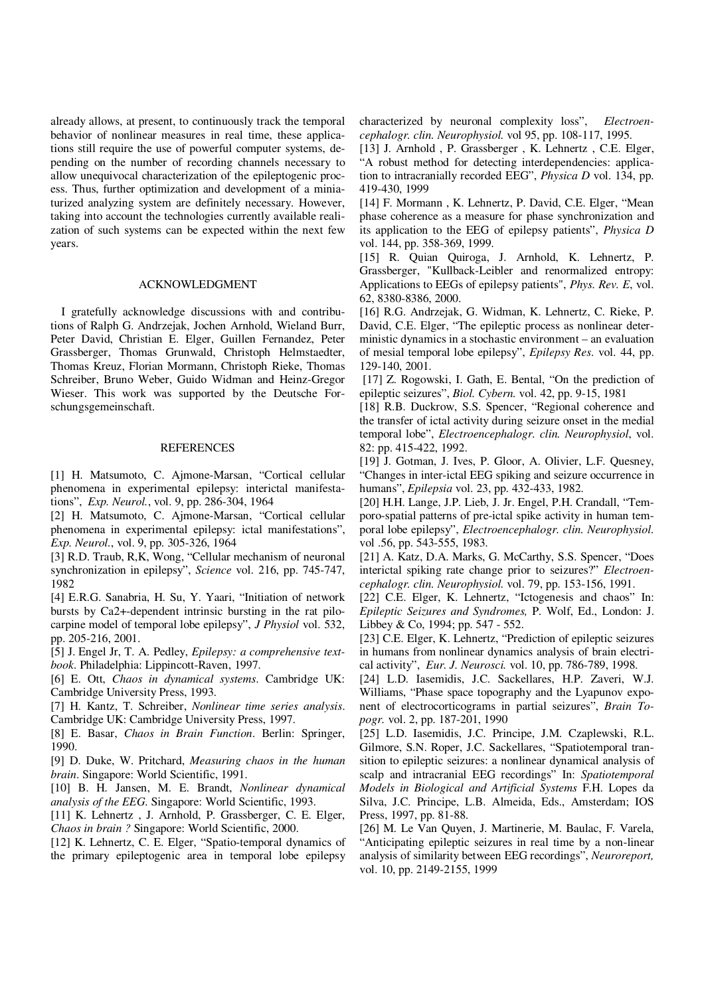already allows, at present, to continuously track the temporal behavior of nonlinear measures in real time, these applications still require the use of powerful computer systems, depending on the number of recording channels necessary to allow unequivocal characterization of the epileptogenic process. Thus, further optimization and development of a miniaturized analyzing system are definitely necessary. However, taking into account the technologies currently available realization of such systems can be expected within the next few years.

## ACKNOWLEDGMENT

I gratefully acknowledge discussions with and contributions of Ralph G. Andrzejak, Jochen Arnhold, Wieland Burr, Peter David, Christian E. Elger, Guillen Fernandez, Peter Grassberger, Thomas Grunwald, Christoph Helmstaedter, Thomas Kreuz, Florian Mormann, Christoph Rieke, Thomas Schreiber, Bruno Weber, Guido Widman and Heinz-Gregor Wieser. This work was supported by the Deutsche Forschungsgemeinschaft.

#### **REFERENCES**

[1] H. Matsumoto, C. Ajmone-Marsan, "Cortical cellular phenomena in experimental epilepsy: interictal manifestations", *Exp. Neurol.*, vol. 9, pp. 286-304, 1964

[2] H. Matsumoto, C. Ajmone-Marsan, "Cortical cellular phenomena in experimental epilepsy: ictal manifestations", *Exp. Neurol.*, vol. 9, pp. 305-326, 1964

[3] R.D. Traub, R,K, Wong, "Cellular mechanism of neuronal synchronization in epilepsy", *Science* vol. 216, pp. 745-747, 1982

[4] E.R.G. Sanabria, H. Su, Y. Yaari, "Initiation of network bursts by Ca2+-dependent intrinsic bursting in the rat pilocarpine model of temporal lobe epilepsy", *J Physiol* vol. 532, pp. 205-216, 2001.

[5] J. Engel Jr, T. A. Pedley, *Epilepsy: a comprehensive textbook*. Philadelphia: Lippincott-Raven, 1997.

[6] E. Ott, *Chaos in dynamical systems*. Cambridge UK: Cambridge University Press, 1993.

[7] H. Kantz, T. Schreiber, *Nonlinear time series analysis*. Cambridge UK: Cambridge University Press, 1997.

[8] E. Basar, *Chaos in Brain Function*. Berlin: Springer, 1990.

[9] D. Duke, W. Pritchard, *Measuring chaos in the human brain*. Singapore: World Scientific, 1991.

[10] B. H. Jansen, M. E. Brandt, *Nonlinear dynamical analysis of the EEG*. Singapore: World Scientific, 1993.

[11] K. Lehnertz , J. Arnhold, P. Grassberger, C. E. Elger, *Chaos in brain ?* Singapore: World Scientific, 2000.

[12] K. Lehnertz, C. E. Elger, "Spatio-temporal dynamics of the primary epileptogenic area in temporal lobe epilepsy characterized by neuronal complexity loss", *Electroencephalogr. clin. Neurophysiol.* vol 95, pp. 108-117, 1995.

[13] J. Arnhold , P. Grassberger , K. Lehnertz , C.E. Elger, "A robust method for detecting interdependencies: application to intracranially recorded EEG", *Physica D* vol. 134, pp. 419-430, 1999

[14] F. Mormann , K. Lehnertz, P. David, C.E. Elger, "Mean phase coherence as a measure for phase synchronization and its application to the EEG of epilepsy patients", *Physica D* vol. 144, pp. 358-369, 1999.

[15] R. Quian Quiroga, J. Arnhold, K. Lehnertz, P. Grassberger, "Kullback-Leibler and renormalized entropy: Applications to EEGs of epilepsy patients", *Phys. Rev. E*, vol. 62, 8380-8386, 2000.

[16] R.G. Andrzejak, G. Widman, K. Lehnertz, C. Rieke, P. David, C.E. Elger, "The epileptic process as nonlinear deterministic dynamics in a stochastic environment – an evaluation of mesial temporal lobe epilepsy", *Epilepsy Res*. vol. 44, pp. 129-140, 2001.

 [17] Z. Rogowski, I. Gath, E. Bental, "On the prediction of epileptic seizures", *Biol. Cybern.* vol. 42, pp. 9-15, 1981

[18] R.B. Duckrow, S.S. Spencer, "Regional coherence and the transfer of ictal activity during seizure onset in the medial temporal lobe", *Electroencephalogr. clin. Neurophysiol*, vol. 82: pp. 415-422, 1992.

[19] J. Gotman, J. Ives, P. Gloor, A. Olivier, L.F. Ouesney, "Changes in inter-ictal EEG spiking and seizure occurrence in humans", *Epilepsia* vol. 23, pp. 432-433, 1982.

[20] H.H. Lange, J.P. Lieb, J. Jr. Engel, P.H. Crandall, "Temporo-spatial patterns of pre-ictal spike activity in human temporal lobe epilepsy", *Electroencephalogr. clin. Neurophysiol.* vol .56, pp. 543-555, 1983.

[21] A. Katz, D.A. Marks, G. McCarthy, S.S. Spencer, "Does interictal spiking rate change prior to seizures?" *Electroencephalogr. clin. Neurophysiol.* vol. 79, pp. 153-156, 1991.

[22] C.E. Elger, K. Lehnertz, "Ictogenesis and chaos" In: *Epileptic Seizures and Syndromes,* P. Wolf, Ed., London: J. Libbey & Co, 1994; pp. 547 - 552.

[23] C.E. Elger, K. Lehnertz, "Prediction of epileptic seizures in humans from nonlinear dynamics analysis of brain electrical activity", *Eur. J. Neurosci.* vol. 10, pp. 786-789, 1998.

[24] L.D. Iasemidis, J.C. Sackellares, H.P. Zaveri, W.J. Williams, "Phase space topography and the Lyapunov exponent of electrocorticograms in partial seizures", *Brain Topogr.* vol. 2, pp. 187-201, 1990

[25] L.D. Iasemidis, J.C. Principe, J.M. Czaplewski, R.L. Gilmore, S.N. Roper, J.C. Sackellares, "Spatiotemporal transition to epileptic seizures: a nonlinear dynamical analysis of scalp and intracranial EEG recordings" In: *Spatiotemporal Models in Biological and Artificial Systems* F.H. Lopes da Silva, J.C. Principe, L.B. Almeida, Eds., Amsterdam; IOS Press, 1997, pp. 81-88.

[26] M. Le Van Quyen, J. Martinerie, M. Baulac, F. Varela, "Anticipating epileptic seizures in real time by a non-linear analysis of similarity between EEG recordings", *Neuroreport,* vol. 10, pp. 2149-2155, 1999